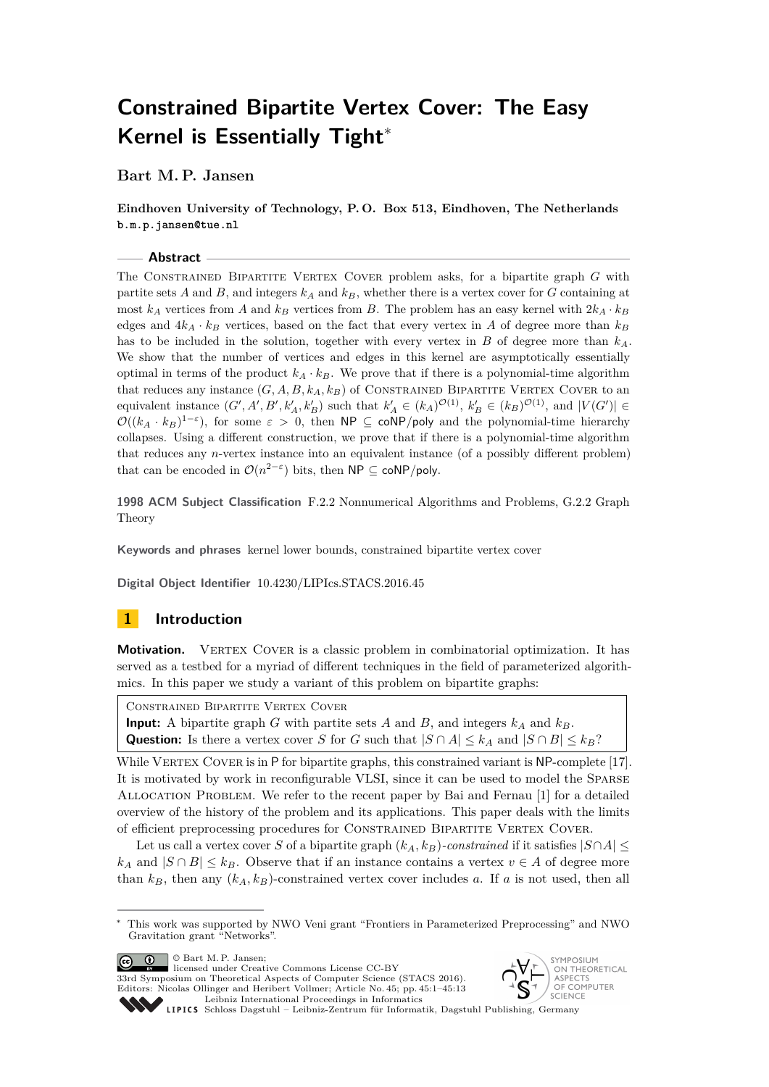# **Constrained Bipartite Vertex Cover: The Easy Kernel is Essentially Tight**<sup>∗</sup>

**Bart M. P. Jansen**

**Eindhoven University of Technology, P. O. Box 513, Eindhoven, The Netherlands b.m.p.jansen@tue.nl**

#### **Abstract**

The Constrained Bipartite Vertex Cover problem asks, for a bipartite graph *G* with partite sets  $A$  and  $B$ , and integers  $k_A$  and  $k_B$ , whether there is a vertex cover for  $G$  containing at most  $k_A$  vertices from *A* and  $k_B$  vertices from *B*. The problem has an easy kernel with  $2k_A \cdot k_B$ edges and  $4k_A \cdot k_B$  vertices, based on the fact that every vertex in *A* of degree more than  $k_B$ has to be included in the solution, together with every vertex in *B* of degree more than *kA*. We show that the number of vertices and edges in this kernel are asymptotically essentially optimal in terms of the product  $k_A \cdot k_B$ . We prove that if there is a polynomial-time algorithm that reduces any instance  $(G, A, B, k_A, k_B)$  of CONSTRAINED BIPARTITE VERTEX COVER to an equivalent instance  $(G', A', B', k'_A, k'_B)$  such that  $k'_A \in (k_A)^{\mathcal{O}(1)}, k'_B \in (k_B)^{\mathcal{O}(1)}$ , and  $|V(G')| \in$  $\mathcal{O}((k_A \cdot k_B)^{1-\epsilon})$ , for some  $\varepsilon > 0$ , then NP  $\subseteq$  coNP/poly and the polynomial-time hierarchy collapses. Using a different construction, we prove that if there is a polynomial-time algorithm that reduces any *n*-vertex instance into an equivalent instance (of a possibly different problem) that can be encoded in  $\mathcal{O}(n^{2-\varepsilon})$  bits, then NP  $\subseteq$  coNP/poly.

**1998 ACM Subject Classification** F.2.2 Nonnumerical Algorithms and Problems, G.2.2 Graph Theory

**Keywords and phrases** kernel lower bounds, constrained bipartite vertex cover

**Digital Object Identifier** [10.4230/LIPIcs.STACS.2016.45](http://dx.doi.org/10.4230/LIPIcs.STACS.2016.45)

## **1 Introduction**

**Motivation.** VERTEX COVER is a classic problem in combinatorial optimization. It has served as a testbed for a myriad of different techniques in the field of parameterized algorithmics. In this paper we study a variant of this problem on bipartite graphs:

Constrained Bipartite Vertex Cover

**Input:** A bipartite graph *G* with partite sets *A* and *B*, and integers  $k_A$  and  $k_B$ . Question: Is there a vertex cover *S* for *G* such that  $|S \cap A| \leq k_A$  and  $|S \cap B| \leq k_B$ ?

While VERTEX COVER is in P for bipartite graphs, this constrained variant is NP-complete [\[17\]](#page-12-0). It is motivated by work in reconfigurable VLSI, since it can be used to model the Sparse Allocation Problem. We refer to the recent paper by Bai and Fernau [\[1\]](#page-12-1) for a detailed overview of the history of the problem and its applications. This paper deals with the limits of efficient preprocessing procedures for Constrained Bipartite Vertex Cover.

Let us call a vertex cover *S* of a bipartite graph  $(k_A, k_B)$ -constrained if it satisfies  $|S \cap A| \leq$  $k_A$  and  $|S \cap B| \leq k_B$ . Observe that if an instance contains a vertex  $v \in A$  of degree more than  $k_B$ , then any  $(k_A, k_B)$ -constrained vertex cover includes *a*. If *a* is not used, then all

© Bart M. P. Jansen; licensed under Creative Commons License CC-BY 33rd Symposium on Theoretical Aspects of Computer Science (STACS 2016). Editors: Nicolas Ollinger and Heribert Vollmer; Article No. 45; pp. 45:1–45[:13](#page-12-2) [Leibniz International Proceedings in Informatics](http://www.dagstuhl.de/lipics/)



Leibniz international Flocetulity in missimosis Dagstuhl Publishing, Germany<br>LIPICS [Schloss Dagstuhl – Leibniz-Zentrum für Informatik, Dagstuhl Publishing, Germany](http://www.dagstuhl.de)

<sup>∗</sup> This work was supported by NWO Veni grant "Frontiers in Parameterized Preprocessing" and NWO Gravitation grant "Networks".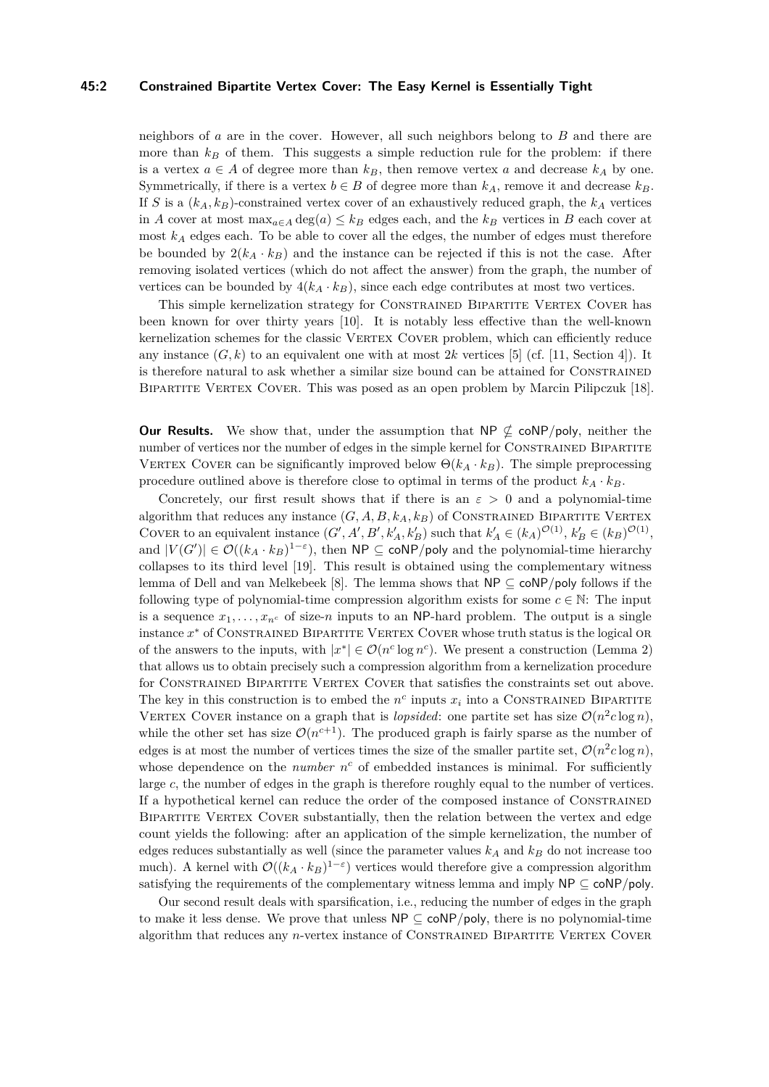#### **45:2 Constrained Bipartite Vertex Cover: The Easy Kernel is Essentially Tight**

neighbors of *a* are in the cover. However, all such neighbors belong to *B* and there are more than  $k_B$  of them. This suggests a simple reduction rule for the problem: if there is a vertex  $a \in A$  of degree more than  $k_B$ , then remove vertex a and decrease  $k_A$  by one. Symmetrically, if there is a vertex  $b \in B$  of degree more than  $k_A$ , remove it and decrease  $k_B$ . If *S* is a  $(k_A, k_B)$ -constrained vertex cover of an exhaustively reduced graph, the  $k_A$  vertices in *A* cover at most  $\max_{a \in A} \deg(a) \leq k_B$  edges each, and the  $k_B$  vertices in *B* each cover at most  $k_A$  edges each. To be able to cover all the edges, the number of edges must therefore be bounded by  $2(k_A \cdot k_B)$  and the instance can be rejected if this is not the case. After removing isolated vertices (which do not affect the answer) from the graph, the number of vertices can be bounded by  $4(k_A \cdot k_B)$ , since each edge contributes at most two vertices.

This simple kernelization strategy for CONSTRAINED BIPARTITE VERTEX COVER has been known for over thirty years [\[10\]](#page-12-3). It is notably less effective than the well-known kernelization schemes for the classic VERTEX COVER problem, which can efficiently reduce any instance  $(G, k)$  to an equivalent one with at most 2k vertices [\[5\]](#page-12-4) (cf. [\[11,](#page-12-5) Section 4]). It is therefore natural to ask whether a similar size bound can be attained for Constrained Bipartite Vertex Cover. This was posed as an open problem by Marcin Pilipczuk [\[18\]](#page-12-6).

**Our Results.** We show that, under the assumption that  $NP \nsubseteq \text{coNP/poly}$ , neither the number of vertices nor the number of edges in the simple kernel for CONSTRAINED BIPARTITE VERTEX COVER can be significantly improved below  $\Theta(k_A \cdot k_B)$ . The simple preprocessing procedure outlined above is therefore close to optimal in terms of the product  $k_A \cdot k_B$ .

Concretely, our first result shows that if there is an  $\varepsilon > 0$  and a polynomial-time algorithm that reduces any instance  $(G, A, B, k_A, k_B)$  of CONSTRAINED BIPARTITE VERTEX COVER to an equivalent instance  $(G', A', B', k'_A, k'_B)$  such that  $k'_A \in (k_A)^{\mathcal{O}(1)}, k'_B \in (k_B)^{\mathcal{O}(1)}$ , and  $|V(G')| \in \mathcal{O}((k_A \cdot k_B)^{1-\epsilon})$ , then  $\mathsf{NP} \subseteq \mathsf{coNP/poly}$  and the polynomial-time hierarchy collapses to its third level [\[19\]](#page-12-7). This result is obtained using the complementary witness lemma of Dell and van Melkebeek [\[8\]](#page-12-8). The lemma shows that NP ⊆ coNP*/*poly follows if the following type of polynomial-time compression algorithm exists for some  $c \in \mathbb{N}$ : The input is a sequence  $x_1, \ldots, x_{n^c}$  of size-*n* inputs to an NP-hard problem. The output is a single instance x<sup>\*</sup> of CONSTRAINED BIPARTITE VERTEX COVER whose truth status is the logical OR of the answers to the inputs, with  $|x^*| \in \mathcal{O}(n^c \log n^c)$ . We present a construction (Lemma [2\)](#page-3-0) that allows us to obtain precisely such a compression algorithm from a kernelization procedure for Constrained Bipartite Vertex Cover that satisfies the constraints set out above. The key in this construction is to embed the  $n^c$  inputs  $x_i$  into a CONSTRAINED BIPARTITE VERTEX COVER instance on a graph that is *lopsided*: one partite set has size  $\mathcal{O}(n^2c \log n)$ , while the other set has size  $\mathcal{O}(n^{c+1})$ . The produced graph is fairly sparse as the number of edges is at most the number of vertices times the size of the smaller partite set,  $\mathcal{O}(n^2c \log n)$ , whose dependence on the *number*  $n^c$  of embedded instances is minimal. For sufficiently large *c*, the number of edges in the graph is therefore roughly equal to the number of vertices. If a hypothetical kernel can reduce the order of the composed instance of Constrained Bipartite Vertex Cover substantially, then the relation between the vertex and edge count yields the following: after an application of the simple kernelization, the number of edges reduces substantially as well (since the parameter values  $k_A$  and  $k_B$  do not increase too much). A kernel with  $\mathcal{O}((k_A \cdot k_B)^{1-\varepsilon})$  vertices would therefore give a compression algorithm satisfying the requirements of the complementary witness lemma and imply  $NP \subseteq coNP/poly$ .

Our second result deals with sparsification, i.e., reducing the number of edges in the graph to make it less dense. We prove that unless  $\mathsf{NP} \subseteq \mathsf{coNP/poly}$ , there is no polynomial-time algorithm that reduces any *n*-vertex instance of CONSTRAINED BIPARTITE VERTEX COVER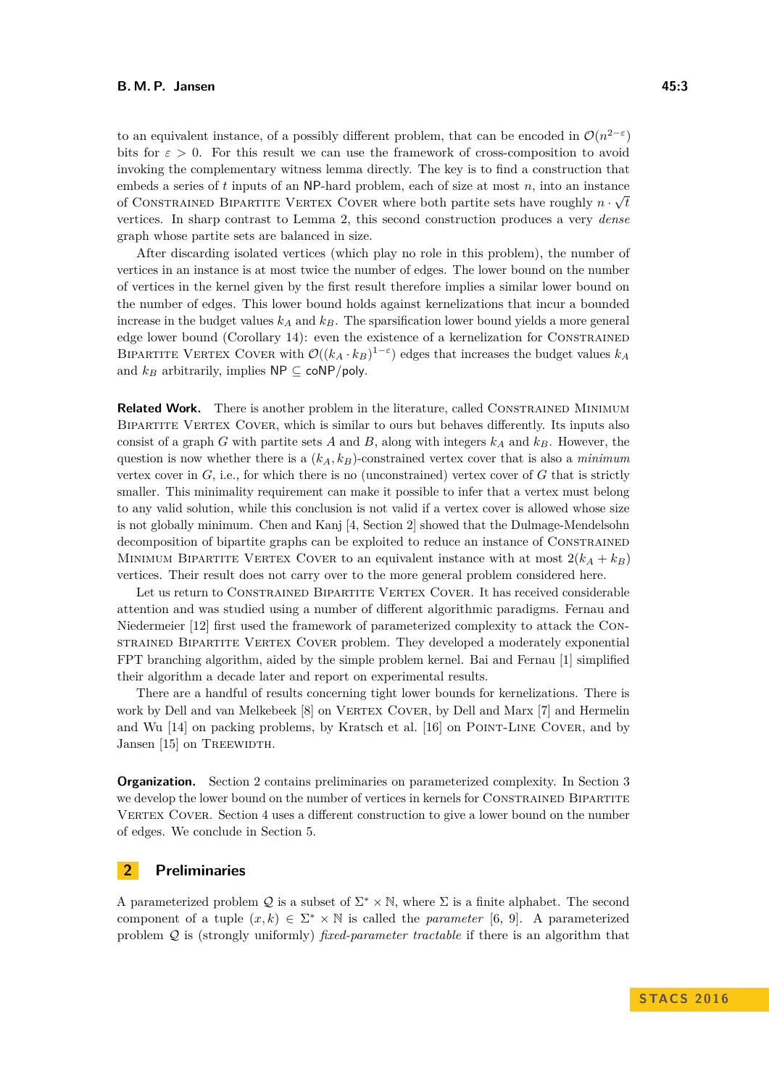to an equivalent instance, of a possibly different problem, that can be encoded in  $\mathcal{O}(n^{2-\epsilon})$ bits for  $\varepsilon > 0$ . For this result we can use the framework of cross-composition to avoid invoking the complementary witness lemma directly. The key is to find a construction that embeds a series of *t* inputs of an NP-hard problem, each of size at most *n*, into an instance of CONSTRAINED BIPARTITE VERTEX COVER where both partite sets have roughly  $n \cdot \sqrt{t}$ vertices. In sharp contrast to Lemma [2,](#page-3-0) this second construction produces a very *dense* graph whose partite sets are balanced in size.

After discarding isolated vertices (which play no role in this problem), the number of vertices in an instance is at most twice the number of edges. The lower bound on the number of vertices in the kernel given by the first result therefore implies a similar lower bound on the number of edges. This lower bound holds against kernelizations that incur a bounded increase in the budget values  $k_A$  and  $k_B$ . The sparsification lower bound yields a more general edge lower bound (Corollary [14\)](#page-11-0): even the existence of a kernelization for Constrained BIPARTITE VERTEX COVER with  $\mathcal{O}((k_A \cdot k_B)^{1-\varepsilon})$  edges that increases the budget values  $k_A$ and  $k_B$  arbitrarily, implies  $\mathsf{NP} \subseteq \mathsf{coNP/poly}.$ 

**Related Work.** There is another problem in the literature, called CONSTRAINED MINIMUM BIPARTITE VERTEX COVER, which is similar to ours but behaves differently. Its inputs also consist of a graph *G* with partite sets *A* and *B*, along with integers  $k_A$  and  $k_B$ . However, the question is now whether there is a (*kA, kB*)-constrained vertex cover that is also a *minimum* vertex cover in  $G$ , i.e., for which there is no (unconstrained) vertex cover of  $G$  that is strictly smaller. This minimality requirement can make it possible to infer that a vertex must belong to any valid solution, while this conclusion is not valid if a vertex cover is allowed whose size is not globally minimum. Chen and Kanj [\[4,](#page-12-9) Section 2] showed that the Dulmage-Mendelsohn decomposition of bipartite graphs can be exploited to reduce an instance of Constrained MINIMUM BIPARTITE VERTEX COVER to an equivalent instance with at most  $2(k_A + k_B)$ vertices. Their result does not carry over to the more general problem considered here.

Let us return to CONSTRAINED BIPARTITE VERTEX COVER. It has received considerable attention and was studied using a number of different algorithmic paradigms. Fernau and Niedermeier [\[12\]](#page-12-10) first used the framework of parameterized complexity to attack the Constrained Bipartite Vertex Cover problem. They developed a moderately exponential FPT branching algorithm, aided by the simple problem kernel. Bai and Fernau [\[1\]](#page-12-1) simplified their algorithm a decade later and report on experimental results.

There are a handful of results concerning tight lower bounds for kernelizations. There is work by Dell and van Melkebeek [\[8\]](#page-12-8) on VERTEX COVER, by Dell and Marx [\[7\]](#page-12-11) and Hermelin and Wu [\[14\]](#page-12-12) on packing problems, by Kratsch et al. [\[16\]](#page-12-13) on Point-Line Cover, and by Jansen [\[15\]](#page-12-14) on TREEWIDTH.

**Organization.** Section [2](#page-2-0) contains preliminaries on parameterized complexity. In Section [3](#page-3-1) we develop the lower bound on the number of vertices in kernels for CONSTRAINED BIPARTITE VERTEX COVER. Section [4](#page-7-0) uses a different construction to give a lower bound on the number of edges. We conclude in Section [5.](#page-11-1)

## <span id="page-2-0"></span>**2 Preliminaries**

A parameterized problem Q is a subset of  $\Sigma^* \times \mathbb{N}$ , where  $\Sigma$  is a finite alphabet. The second component of a tuple  $(x, k) \in \Sigma^* \times \mathbb{N}$  is called the *parameter* [\[6,](#page-12-15) [9\]](#page-12-16). A parameterized problem Q is (strongly uniformly) *fixed-parameter tractable* if there is an algorithm that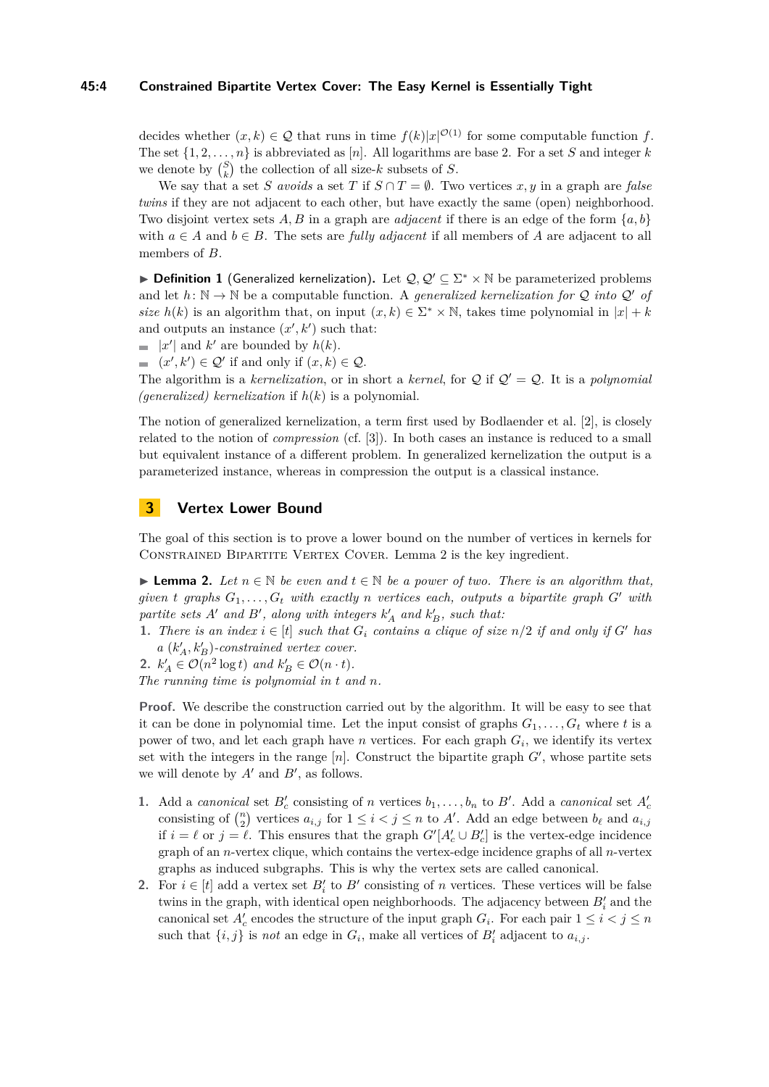#### **45:4 Constrained Bipartite Vertex Cover: The Easy Kernel is Essentially Tight**

decides whether  $(x, k) \in \mathcal{Q}$  that runs in time  $f(k)|x|^{\mathcal{O}(1)}$  for some computable function f. The set  $\{1, 2, \ldots, n\}$  is abbreviated as [*n*]. All logarithms are base 2. For a set *S* and integer *k* we denote by  $\binom{S}{k}$  the collection of all size-*k* subsets of *S*.

We say that a set *S avoids* a set *T* if  $S \cap T = \emptyset$ . Two vertices *x*, *y* in a graph are *false twins* if they are not adjacent to each other, but have exactly the same (open) neighborhood. Two disjoint vertex sets *A, B* in a graph are *adjacent* if there is an edge of the form {*a, b*} with  $a \in A$  and  $b \in B$ . The sets are *fully adjacent* if all members of A are adjacent to all members of *B*.

**► Definition 1** (Generalized kernelization). Let  $Q, Q' \subseteq \Sigma^* \times \mathbb{N}$  be parameterized problems and let  $h: \mathbb{N} \to \mathbb{N}$  be a computable function. A *generalized kernelization for*  $\mathcal{Q}$  *into*  $\mathcal{Q}'$  *of size*  $h(k)$  is an algorithm that, on input  $(x, k) \in \Sigma^* \times \mathbb{N}$ , takes time polynomial in  $|x| + k$ and outputs an instance  $(x', k')$  such that:

- |*x'*| and *k'* are bounded by  $h(k)$ .
- $(x', k') \in \mathcal{Q}'$  if and only if  $(x, k) \in \mathcal{Q}$ .

The algorithm is a *kernelization*, or in short a *kernel*, for  $Q$  if  $Q' = Q$ . It is a *polynomial (generalized) kernelization* if *h*(*k*) is a polynomial.

The notion of generalized kernelization, a term first used by Bodlaender et al. [\[2\]](#page-12-17), is closely related to the notion of *compression* (cf. [\[3\]](#page-12-18)). In both cases an instance is reduced to a small but equivalent instance of a different problem. In generalized kernelization the output is a parameterized instance, whereas in compression the output is a classical instance.

## <span id="page-3-1"></span>**3 Vertex Lower Bound**

The goal of this section is to prove a lower bound on the number of vertices in kernels for CONSTRAINED BIPARTITE VERTEX COVER. Lemma [2](#page-3-0) is the key ingredient.

<span id="page-3-0"></span>**► Lemma 2.** Let  $n \in \mathbb{N}$  be even and  $t \in \mathbb{N}$  be a power of two. There is an algorithm that, *given t graphs*  $G_1, \ldots, G_t$  *with exactly n vertices each, outputs a bipartite graph*  $G'$  *with*  $partite$  *sets*  $A'$  *and*  $B'$ , *along with integers*  $k'_A$  *and*  $k'_B$ , *such that:* 

**1.** *There is an index*  $i \in [t]$  *such that*  $G_i$  *contains a clique of size*  $n/2$  *if and only if*  $G'$  *has*  $a(k'_A, k'_B)$ -constrained vertex cover.

2.  $k'_A \in \mathcal{O}(n^2 \log t)$  and  $k'_B \in \mathcal{O}(n \cdot t)$ .

*The running time is polynomial in t and n.*

**Proof.** We describe the construction carried out by the algorithm. It will be easy to see that it can be done in polynomial time. Let the input consist of graphs  $G_1, \ldots, G_t$  where t is a power of two, and let each graph have *n* vertices. For each graph *G<sup>i</sup>* , we identify its vertex set with the integers in the range  $[n]$ . Construct the bipartite graph  $G'$ , whose partite sets we will denote by  $A'$  and  $B'$ , as follows.

- **1.** Add a *canonical* set  $B'_c$  consisting of *n* vertices  $b_1, \ldots, b_n$  to  $B'$ . Add a *canonical* set  $A'_c$ consisting of  $\binom{n}{2}$  vertices  $a_{i,j}$  for  $1 \leq i < j \leq n$  to A'. Add an edge between  $b_{\ell}$  and  $a_{i,j}$ if  $i = \ell$  or  $j = \ell$ . This ensures that the graph  $G'[A'_{c} \cup B'_{c}]$  is the vertex-edge incidence graph of an *n*-vertex clique, which contains the vertex-edge incidence graphs of all *n*-vertex graphs as induced subgraphs. This is why the vertex sets are called canonical.
- **2.** For  $i \in [t]$  add a vertex set  $B_i'$  to  $B'$  consisting of *n* vertices. These vertices will be false twins in the graph, with identical open neighborhoods. The adjacency between  $B_i'$  and the canonical set  $A'_c$  encodes the structure of the input graph  $G_i$ . For each pair  $1 \leq i < j \leq n$ such that  $\{i, j\}$  is *not* an edge in  $G_i$ , make all vertices of  $B'_i$  adjacent to  $a_{i,j}$ .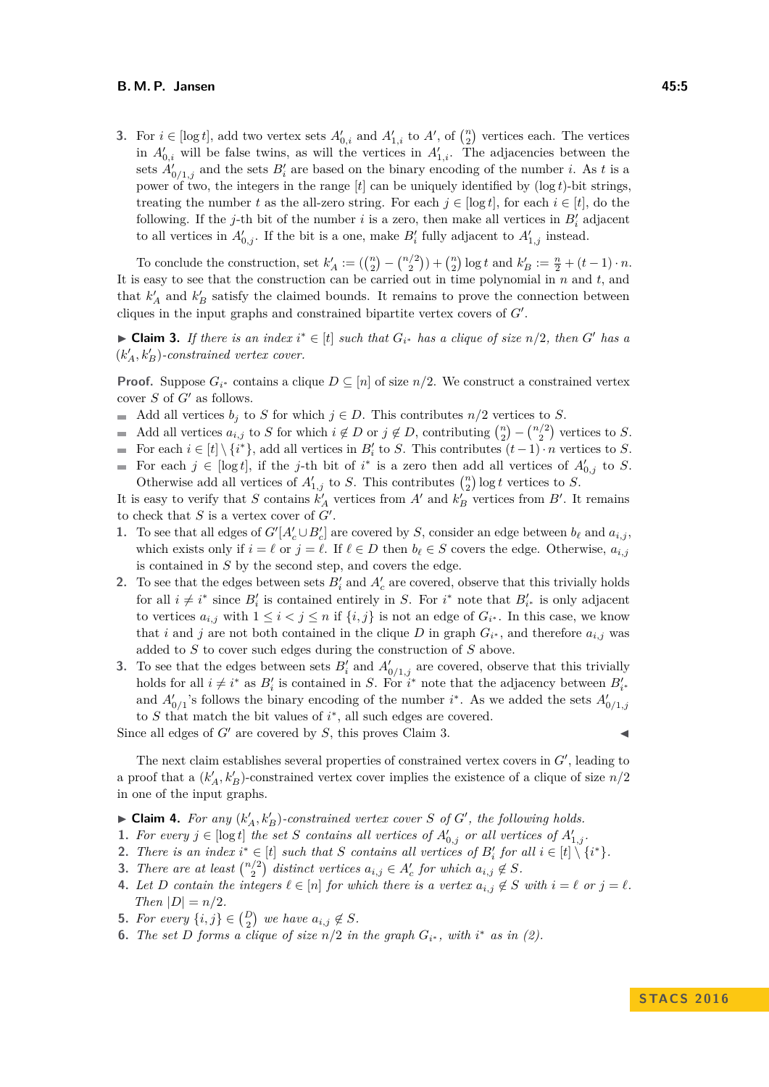#### **B. M. P. Jansen 45:5**

**3.** For  $i \in [\log t]$ , add two vertex sets  $A'_{0,i}$  and  $A'_{1,i}$  to  $A'$ , of  $\binom{n}{2}$  vertices each. The vertices in  $A'_{0,i}$  will be false twins, as will the vertices in  $A'_{1,i}$ . The adjacencies between the sets  $A'_{0/1,j}$  and the sets  $B'_i$  are based on the binary encoding of the number *i*. As *t* is a power of two, the integers in the range  $[t]$  can be uniquely identified by  $(\log t)$ -bit strings, treating the number *t* as the all-zero string. For each  $j \in [\log t]$ , for each  $i \in [t]$ , do the following. If the *j*-th bit of the number *i* is a zero, then make all vertices in  $B_i'$  adjacent to all vertices in  $A'_{0,j}$ . If the bit is a one, make  $B'_{i}$  fully adjacent to  $A'_{1,j}$  instead.

To conclude the construction, set  $k'_A := \left( {n \choose 2} - {n/2 \choose 2} \right) + {n \choose 2} \log t$  and  $k'_B := \frac{n}{2} + (t-1) \cdot n$ . It is easy to see that the construction can be carried out in time polynomial in *n* and *t*, and that  $k'_A$  and  $k'_B$  satisfy the claimed bounds. It remains to prove the connection between cliques in the input graphs and constrained bipartite vertex covers of  $G'$ .

<span id="page-4-0"></span>► Claim 3. If there is an index  $i^* \in [t]$  such that  $G_{i^*}$  has a clique of size  $n/2$ , then  $G'$  has a  $(k'_A, k'_B)$ -constrained vertex cover.

**Proof.** Suppose  $G_i^*$  contains a clique  $D \subseteq [n]$  of size  $n/2$ . We construct a constrained vertex cover  $S$  of  $G'$  as follows.

- Add all vertices  $b_j$  to *S* for which  $j \in D$ . This contributes  $n/2$  vertices to *S*.
- Add all vertices  $a_{i,j}$  to *S* for which  $i \notin D$  or  $j \notin D$ , contributing  $\binom{n}{2} \binom{n/2}{2}$  vertices to *S*.
- For each  $i \in [t] \setminus \{i^*\}$ , add all vertices in  $B'_i$  to *S*. This contributes  $(t-1) \cdot n$  vertices to *S*.  $\sim$
- For each  $j \in [\log t]$ , if the *j*-th bit of  $i^*$  is a zero then add all vertices of  $A'_{0,j}$  to *S*. Otherwise add all vertices of  $A'_{1,j}$  to *S*. This contributes  $\binom{n}{2} \log t$  vertices to *S*.

It is easy to verify that *S* contains  $k'_A$  vertices from  $A'$  and  $k'_B$  vertices from  $B'$ . It remains to check that  $S$  is a vertex cover of  $G'$ .

- **1.** To see that all edges of  $G'[A'_{c} \cup B'_{c}]$  are covered by *S*, consider an edge between  $b_{\ell}$  and  $a_{i,j}$ , which exists only if  $i = \ell$  or  $j = \ell$ . If  $\ell \in D$  then  $b_{\ell} \in S$  covers the edge. Otherwise,  $a_{i,j}$ is contained in *S* by the second step, and covers the edge.
- **2.** To see that the edges between sets  $B_i'$  and  $A_c'$  are covered, observe that this trivially holds for all  $i \neq i^*$  since  $B_i'$  is contained entirely in *S*. For  $i^*$  note that  $B_{i^*}'$  is only adjacent to vertices  $a_{i,j}$  with  $1 \leq i < j \leq n$  if  $\{i,j\}$  is not an edge of  $G_{i^*}$ . In this case, we know that *i* and *j* are not both contained in the clique *D* in graph  $G_i^*$ , and therefore  $a_{i,j}$  was added to *S* to cover such edges during the construction of *S* above.
- **3.** To see that the edges between sets  $B_i'$  and  $A_{0/1,j}'$  are covered, observe that this trivially holds for all  $i \neq i^*$  as  $B_i'$  is contained in *S*. For  $i^*$  note that the adjacency between  $B_{i^*}'$ and  $A'_{0/1}$ 's follows the binary encoding of the number *i*<sup>\*</sup>. As we added the sets  $A'_{0/1,j}$ to  $S$  that match the bit values of  $i^*$ , all such edges are covered.

Since all edges of  $G'$  are covered by  $S$ , this proves Claim [3.](#page-4-0)

The next claim establishes several properties of constrained vertex covers in  $G'$ , leading to a proof that a  $(k'_A, k'_B)$ -constrained vertex cover implies the existence of a clique of size  $n/2$ in one of the input graphs.

- $\blacktriangleright$  **Claim 4.** For any  $(k'_A, k'_B)$ -constrained vertex cover *S* of *G*<sup> $\prime$ </sup>, the following holds.
- <span id="page-4-2"></span>**1.** For every  $j \in [\log t]$  the set *S* contains all vertices of  $A'_{0,j}$  or all vertices of  $A'_{1,j}$ .
- <span id="page-4-1"></span>**2.** There is an index  $i^* \in [t]$  such that *S* contains all vertices of  $B_i'$  for all  $i \in [t] \setminus \{i^*\}$ .
- <span id="page-4-3"></span>**3.** There are at least  $\binom{n/2}{2}$  distinct vertices  $a_{i,j} \in A'_c$  for which  $a_{i,j} \notin S$ .
- <span id="page-4-4"></span>**4.** Let D contain the integers  $\ell \in [n]$  for which there is a vertex  $a_{i,j} \notin S$  with  $i = \ell$  or  $j = \ell$ . *Then*  $|D| = n/2$ *.*
- <span id="page-4-5"></span>**5.** *For every*  $\{i, j\} \in \binom{D}{2}$  *we have*  $a_{i,j} \notin S$ *.*
- <span id="page-4-6"></span>**6.** *The set D forms a clique of size*  $n/2$  *in the graph*  $G_i^*$ , *with*  $i^*$  *as in* [\(2\)](#page-4-1)*.*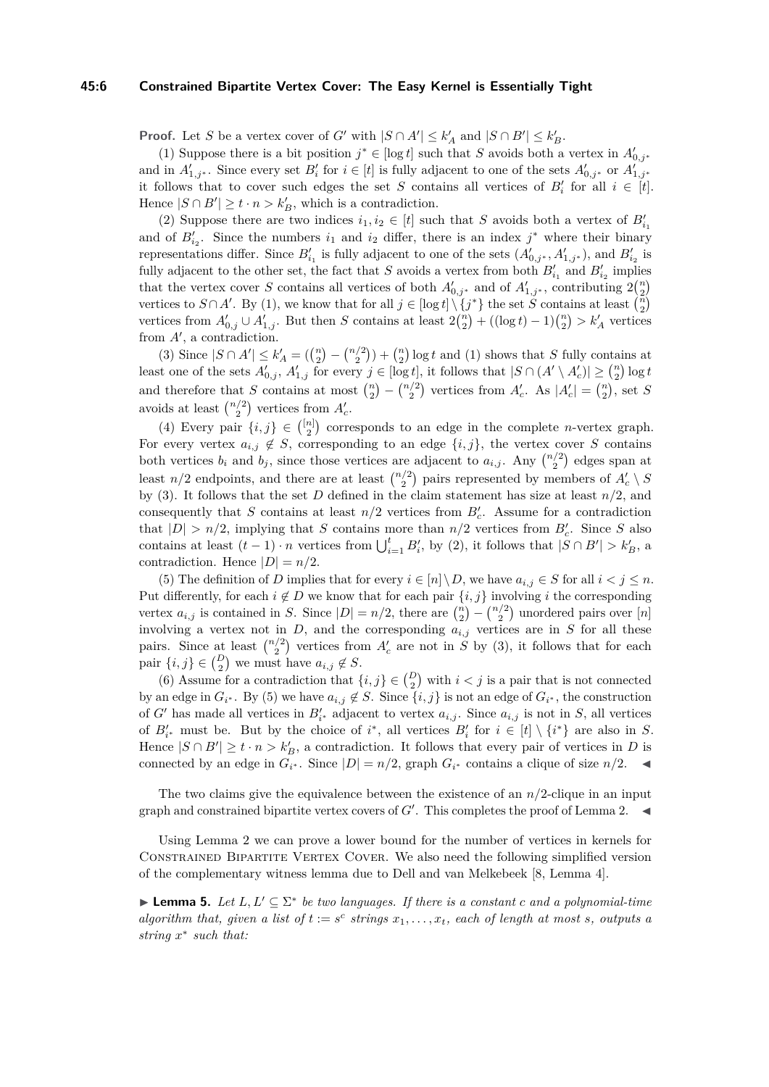#### **45:6 Constrained Bipartite Vertex Cover: The Easy Kernel is Essentially Tight**

**Proof.** Let *S* be a vertex cover of *G*<sup> $\prime$ </sup> with  $|S \cap A'| \leq k_A^{\prime}$  and  $|S \cap B'| \leq k_B^{\prime}$ .

[\(1\)](#page-4-2) Suppose there is a bit position  $j^* \in [\log t]$  such that *S* avoids both a vertex in  $A'_{0,j^*}$ and in  $A'_{1,j^*}$ . Since every set  $B'_i$  for  $i \in [t]$  is fully adjacent to one of the sets  $A'_{0,j^*}$  or  $A'_{1,j^*}$ it follows that to cover such edges the set *S* contains all vertices of  $B_i'$  for all  $i \in [t]$ . Hence  $|S \cap B'| \ge t \cdot n > k_B'$ , which is a contradiction.

[\(2\)](#page-4-1) Suppose there are two indices  $i_1, i_2 \in [t]$  such that *S* avoids both a vertex of  $B'_{i_1}$ and of  $B'_{i_2}$ . Since the numbers  $i_1$  and  $i_2$  differ, there is an index  $j^*$  where their binary representations differ. Since  $B'_{i_1}$  is fully adjacent to one of the sets  $(A'_{0,j^*}, A'_{1,j^*})$ , and  $B'_{i_2}$  is fully adjacent to the other set, the fact that *S* avoids a vertex from both  $B'_{i_1}$  and  $B'_{i_2}$  implies that the vertex cover *S* contains all vertices of both  $A'_{0,j^*}$  and of  $A'_{1,j^*}$ , contributing  $2{n \choose 2}$ vertices to  $S \cap A'$ . By [\(1\)](#page-4-2), we know that for all  $j \in [\log t] \setminus \{j^*\}$  the set  $\widetilde{S}$  contains at least  $\binom{n}{2}$ vertices from  $A'_{0,j} \cup A'_{1,j}$ . But then *S* contains at least  $2{n \choose 2} + ((\log t) - 1){n \choose 2} > k'_A$  vertices from  $A'$ , a contradiction.

[\(3\)](#page-4-3) Since  $|S \cap A'| \le k'_A = (\binom{n}{2} - \binom{n/2}{2}) + \binom{n}{2} \log t$  and [\(1\)](#page-4-2) shows that *S* fully contains at least one of the sets  $A'_{0,j}$ ,  $A'_{1,j}$  for every  $j \in [\log t]$ , it follows that  $|S \cap (A' \setminus A'_{c})| \geq {n \choose 2} \log t$ and therefore that *S* contains at most  $\binom{n}{2} - \binom{n/2}{2}$  vertices from  $A_c'$ . As  $|A_c'| = \binom{n}{2}$ , set *S* avoids at least  $\binom{n/2}{2}$  vertices from  $A_c'$ .

[\(4\)](#page-4-4) Every pair  $\{i, j\} \in \binom{[n]}{2}$  corresponds to an edge in the complete *n*-vertex graph. For every vertex  $a_{i,j} \notin S$ , corresponding to an edge  $\{i,j\}$ , the vertex cover *S* contains both vertices  $b_i$  and  $b_j$ , since those vertices are adjacent to  $a_{i,j}$ . Any  $\binom{n/2}{2}$  edges span at least  $n/2$  endpoints, and there are at least  $\binom{n/2}{2}$  pairs represented by members of  $A'_c \setminus S$ by [\(3\)](#page-4-3). It follows that the set *D* defined in the claim statement has size at least  $n/2$ , and consequently that *S* contains at least  $n/2$  vertices from  $B_c'$ . Assume for a contradiction that  $|D| > n/2$ , implying that *S* contains more than  $n/2$  vertices from  $B_c'$ . Since *S* also contains at least  $(t-1) \cdot n$  vertices from  $\bigcup_{i=1}^{t} B'_{i}$ , by [\(2\)](#page-4-1), it follows that  $|S \cap B'| > k'_{B}$ , a contradiction. Hence  $|D| = n/2$ .

[\(5\)](#page-4-5) The definition of *D* implies that for every  $i \in [n] \setminus D$ , we have  $a_{i,j} \in S$  for all  $i < j \leq n$ . Put differently, for each  $i \notin D$  we know that for each pair  $\{i, j\}$  involving *i* the corresponding vertex  $a_{i,j}$  is contained in *S*. Since  $|D| = n/2$ , there are  $\binom{n}{2} - \binom{n/2}{2}$  unordered pairs over  $[n]$ involving a vertex not in  $D$ , and the corresponding  $a_{i,j}$  vertices are in  $S$  for all these pairs. Since at least  $\binom{n/2}{2}$  vertices from  $A_c$  are not in *S* by [\(3\)](#page-4-3), it follows that for each pair  $\{i, j\} \in \binom{D}{2}$  we must have  $a_{i,j} \notin S$ .

[\(6\)](#page-4-6) Assume for a contradiction that  $\{i, j\} \in {D \choose 2}$  with  $i < j$  is a pair that is not connected by an edge in  $G_{i^*}$ . By [\(5\)](#page-4-5) we have  $a_{i,j} \notin S$ . Since  $\{i,j\}$  is not an edge of  $G_{i^*}$ , the construction of *G*<sup> $\prime$ </sup> has made all vertices in  $B'_{i*}$  adjacent to vertex  $a_{i,j}$ . Since  $a_{i,j}$  is not in *S*, all vertices of  $B'_{i^*}$  must be. But by the choice of  $i^*$ , all vertices  $B'_{i}$  for  $i \in [t] \setminus \{i^*\}$  are also in *S*. Hence  $|S \cap B'| \ge t \cdot n > k_B'$ , a contradiction. It follows that every pair of vertices in *D* is connected by an edge in  $G_i^*$ . Since  $|D| = n/2$ , graph  $G_i^*$  contains a clique of size  $n/2$ .

The two claims give the equivalence between the existence of an *n/*2-clique in an input graph and constrained bipartite vertex covers of  $G'$ . This completes the proof of Lemma [2.](#page-3-0)

Using Lemma [2](#page-3-0) we can prove a lower bound for the number of vertices in kernels for CONSTRAINED BIPARTITE VERTEX COVER. We also need the following simplified version of the complementary witness lemma due to Dell and van Melkebeek [\[8,](#page-12-8) Lemma 4].

<span id="page-5-0"></span>**► Lemma 5.** Let  $L, L' \subseteq \Sigma^*$  be two languages. If there is a constant *c* and a polynomial-time *algorithm that, given a list of*  $t := s^c$  *strings*  $x_1, \ldots, x_t$ *, each of length at most s, outputs a string x* ∗ *such that:*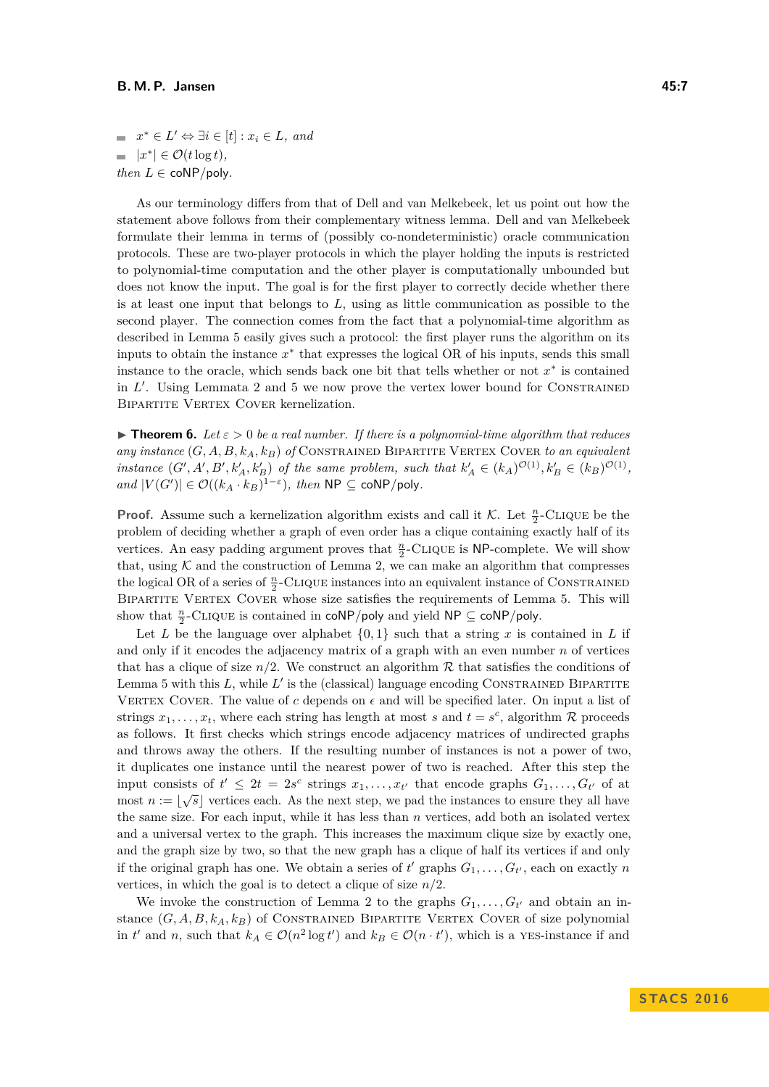$x^* \in L' \Leftrightarrow \exists i \in [t] : x_i \in L$ , and  $|x^*| \in \mathcal{O}(t \log t),$ *then*  $L \in \text{coNP/poly}$ .

As our terminology differs from that of Dell and van Melkebeek, let us point out how the statement above follows from their complementary witness lemma. Dell and van Melkebeek formulate their lemma in terms of (possibly co-nondeterministic) oracle communication protocols. These are two-player protocols in which the player holding the inputs is restricted to polynomial-time computation and the other player is computationally unbounded but does not know the input. The goal is for the first player to correctly decide whether there is at least one input that belongs to *L*, using as little communication as possible to the second player. The connection comes from the fact that a polynomial-time algorithm as described in Lemma [5](#page-5-0) easily gives such a protocol: the first player runs the algorithm on its inputs to obtain the instance *x* ∗ that expresses the logical OR of his inputs, sends this small instance to the oracle, which sends back one bit that tells whether or not  $x^*$  is contained in  $L'$ . Using Lemmata [2](#page-3-0) and [5](#page-5-0) we now prove the vertex lower bound for CONSTRAINED BIPARTITE VERTEX COVER kernelization.

<span id="page-6-0"></span>**Figure 1. Figure 1.** *Let*  $\varepsilon > 0$  *be a real number. If there is a polynomial-time algorithm that reduces any instance*  $(G, A, B, k_A, k_B)$  *of* CONSTRAINED BIPARTITE VERTEX COVER to an equivalent instance  $(G', A', B', k'_A, k'_B)$  of the same problem, such that  $k'_A \in (k_A)^{\mathcal{O}(1)}, k'_B \in (k_B)^{\mathcal{O}(1)}$ ,  $\mathcal{L}$  *and*  $|V(G')| \in \mathcal{O}((k_A \cdot k_B)^{1-\epsilon})$ *, then*  $\mathsf{NP} \subseteq \mathsf{coNP/poly}$ *.* 

**Proof.** Assume such a kernelization algorithm exists and call it K. Let  $\frac{n}{2}$ -CLIQUE be the problem of deciding whether a graph of even order has a clique containing exactly half of its vertices. An easy padding argument proves that  $\frac{n}{2}$ -CLIQUE is NP-complete. We will show that, using  $K$  and the construction of Lemma [2,](#page-3-0) we can make an algorithm that compresses the logical OR of a series of  $\frac{n}{2}$ -CLIQUE instances into an equivalent instance of CONSTRAINED BIPARTITE VERTEX COVER whose size satisfies the requirements of Lemma [5.](#page-5-0) This will show that  $\frac{n}{2}$ -CLIQUE is contained in coNP/poly and yield NP  $\subseteq$  coNP/poly.

Let L be the language over alphabet  $\{0, 1\}$  such that a string x is contained in L if and only if it encodes the adjacency matrix of a graph with an even number *n* of vertices that has a clique of size  $n/2$ . We construct an algorithm  $\mathcal R$  that satisfies the conditions of Lemma [5](#page-5-0) with this  $L$ , while  $L'$  is the (classical) language encoding CONSTRAINED BIPARTITE VERTEX COVER. The value of  $c$  depends on  $\epsilon$  and will be specified later. On input a list of strings  $x_1, \ldots, x_t$ , where each string has length at most *s* and  $t = s^c$ , algorithm R proceeds as follows. It first checks which strings encode adjacency matrices of undirected graphs and throws away the others. If the resulting number of instances is not a power of two, it duplicates one instance until the nearest power of two is reached. After this step the input consists of  $t' \leq 2t = 2s^c$  strings  $x_1, \ldots, x_{t'}$  that encode graphs  $G_1, \ldots, G_{t'}$  of at most  $n := \lfloor \sqrt{s} \rfloor$  vertices each. As the next step, we pad the instances to ensure they all have the same size. For each input, while it has less than *n* vertices, add both an isolated vertex and a universal vertex to the graph. This increases the maximum clique size by exactly one, and the graph size by two, so that the new graph has a clique of half its vertices if and only if the original graph has one. We obtain a series of  $t'$  graphs  $G_1, \ldots, G_{t'}$ , each on exactly *n* vertices, in which the goal is to detect a clique of size  $n/2$ .

We invoke the construction of Lemma [2](#page-3-0) to the graphs  $G_1, \ldots, G_{t'}$  and obtain an instance  $(G, A, B, k_A, k_B)$  of CONSTRAINED BIPARTITE VERTEX COVER of size polynomial in  $t'$  and  $n$ , such that  $k_A \in \mathcal{O}(n^2 \log t')$  and  $k_B \in \mathcal{O}(n \cdot t')$ , which is a YES-instance if and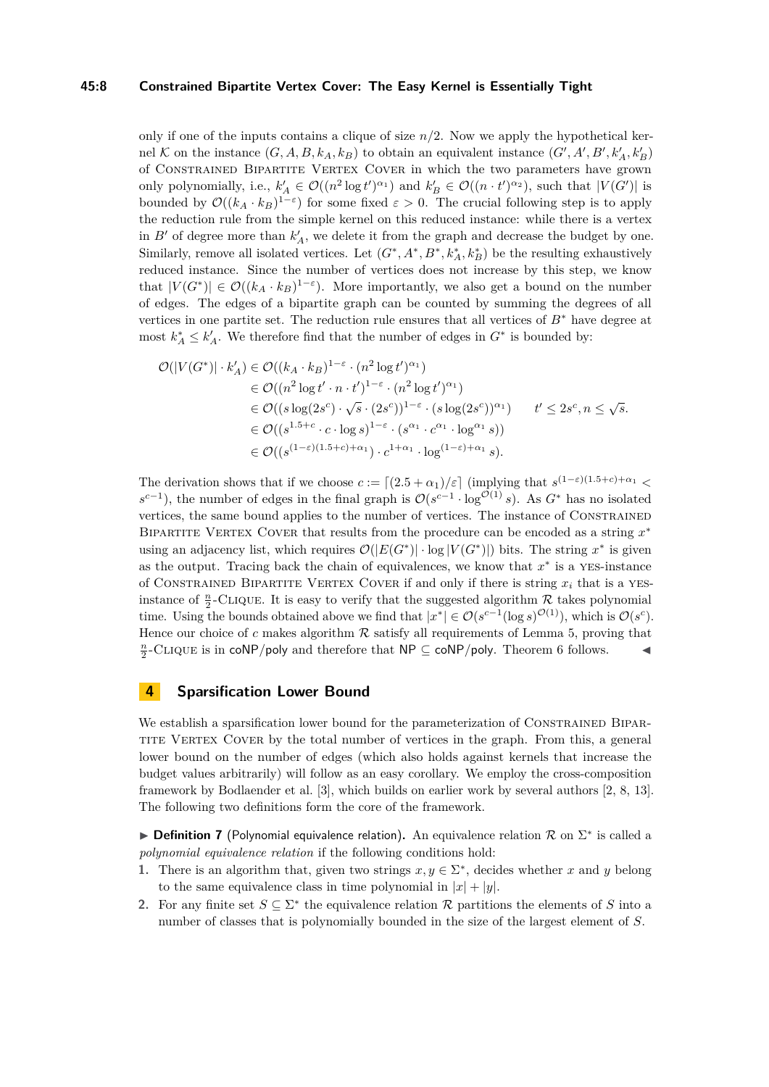#### **45:8 Constrained Bipartite Vertex Cover: The Easy Kernel is Essentially Tight**

only if one of the inputs contains a clique of size *n/*2. Now we apply the hypothetical kernel K on the instance  $(G, A, B, k_A, k_B)$  to obtain an equivalent instance  $(G', A', B', k'_A, k'_B)$ of Constrained Bipartite Vertex Cover in which the two parameters have grown only polynomially, i.e.,  $k'_A \in \mathcal{O}((n^2 \log t')^{\alpha_1})$  and  $k'_B \in \mathcal{O}((n \cdot t')^{\alpha_2})$ , such that  $|V(G')|$  is bounded by  $\mathcal{O}((k_A \cdot k_B)^{1-\epsilon})$  for some fixed  $\varepsilon > 0$ . The crucial following step is to apply the reduction rule from the simple kernel on this reduced instance: while there is a vertex in  $B'$  of degree more than  $k'_A$ , we delete it from the graph and decrease the budget by one. Similarly, remove all isolated vertices. Let  $(G^*, A^*, B^*, k_A^*, k_B^*)$  be the resulting exhaustively reduced instance. Since the number of vertices does not increase by this step, we know that  $|V(G^*)| \in \mathcal{O}((k_A \cdot k_B)^{1-\epsilon})$ . More importantly, we also get a bound on the number of edges. The edges of a bipartite graph can be counted by summing the degrees of all vertices in one partite set. The reduction rule ensures that all vertices of *B*<sup>∗</sup> have degree at most  $k_A^* \leq k_A'$ . We therefore find that the number of edges in  $G^*$  is bounded by:

$$
\mathcal{O}(|V(G^*)| \cdot k'_A) \in \mathcal{O}((k_A \cdot k_B)^{1-\varepsilon} \cdot (n^2 \log t')^{\alpha_1})
$$
  
\n
$$
\in \mathcal{O}((n^2 \log t' \cdot n \cdot t')^{1-\varepsilon} \cdot (n^2 \log t')^{\alpha_1})
$$
  
\n
$$
\in \mathcal{O}((s \log(2s^c) \cdot \sqrt{s} \cdot (2s^c))^{1-\varepsilon} \cdot (s \log(2s^c))^{\alpha_1}) \qquad t' \le 2s^c, n \le \sqrt{s}.
$$
  
\n
$$
\in \mathcal{O}((s^{1.5+c} \cdot c \cdot \log s)^{1-\varepsilon} \cdot (s^{\alpha_1} \cdot c^{\alpha_1} \cdot \log^{\alpha_1} s))
$$
  
\n
$$
\in \mathcal{O}((s^{(1-\varepsilon)(1.5+c)+\alpha_1}) \cdot c^{1+\alpha_1} \cdot \log^{(1-\varepsilon)+\alpha_1} s).
$$

The derivation shows that if we choose  $c := \lfloor (2.5 + \alpha_1)/\varepsilon \rfloor$  (implying that  $s^{(1-\varepsilon)(1.5+c)+\alpha_1}$  $s^{c-1}$ ), the number of edges in the final graph is  $\mathcal{O}(s^{c-1} \cdot \log^{\mathcal{O}(1)} s)$ . As  $G^*$  has no isolated vertices, the same bound applies to the number of vertices. The instance of Constrained BIPARTITE VERTEX COVER that results from the procedure can be encoded as a string  $x^*$ using an adjacency list, which requires  $\mathcal{O}(|E(G^*)| \cdot \log |V(G^*)|)$  bits. The string  $x^*$  is given as the output. Tracing back the chain of equivalences, we know that  $x^*$  is a YES-instance of CONSTRAINED BIPARTITE VERTEX COVER if and only if there is string  $x_i$  that is a YESinstance of  $\frac{n}{2}$ -CLIQUE. It is easy to verify that the suggested algorithm  $\mathcal{R}$  takes polynomial time. Using the bounds obtained above we find that  $|x^*| \in \mathcal{O}(s^{c-1}(\log s)^{\mathcal{O}(1)})$ , which is  $\mathcal{O}(s^c)$ . Hence our choice of  $c$  makes algorithm  $R$  satisfy all requirements of Lemma [5,](#page-5-0) proving that  $\frac{n}{2}$ -CLIQUE is in coNP*/*poly and therefore that NP ⊆ coNP*/*poly. Theorem [6](#page-6-0) follows.

### <span id="page-7-0"></span>**4 Sparsification Lower Bound**

We establish a sparsification lower bound for the parameterization of CONSTRAINED BIPAR-TITE VERTEX COVER by the total number of vertices in the graph. From this, a general lower bound on the number of edges (which also holds against kernels that increase the budget values arbitrarily) will follow as an easy corollary. We employ the cross-composition framework by Bodlaender et al. [\[3\]](#page-12-18), which builds on earlier work by several authors [\[2,](#page-12-17) [8,](#page-12-8) [13\]](#page-12-19). The following two definitions form the core of the framework.

**▶ Definition 7** (Polynomial equivalence relation). An equivalence relation  $\mathcal{R}$  on  $\Sigma^*$  is called a *polynomial equivalence relation* if the following conditions hold:

- **1.** There is an algorithm that, given two strings  $x, y \in \Sigma^*$ , decides whether *x* and *y* belong to the same equivalence class in time polynomial in  $|x| + |y|$ .
- **2.** For any finite set  $S \subseteq \Sigma^*$  the equivalence relation  $\mathcal{R}$  partitions the elements of *S* into a number of classes that is polynomially bounded in the size of the largest element of *S*.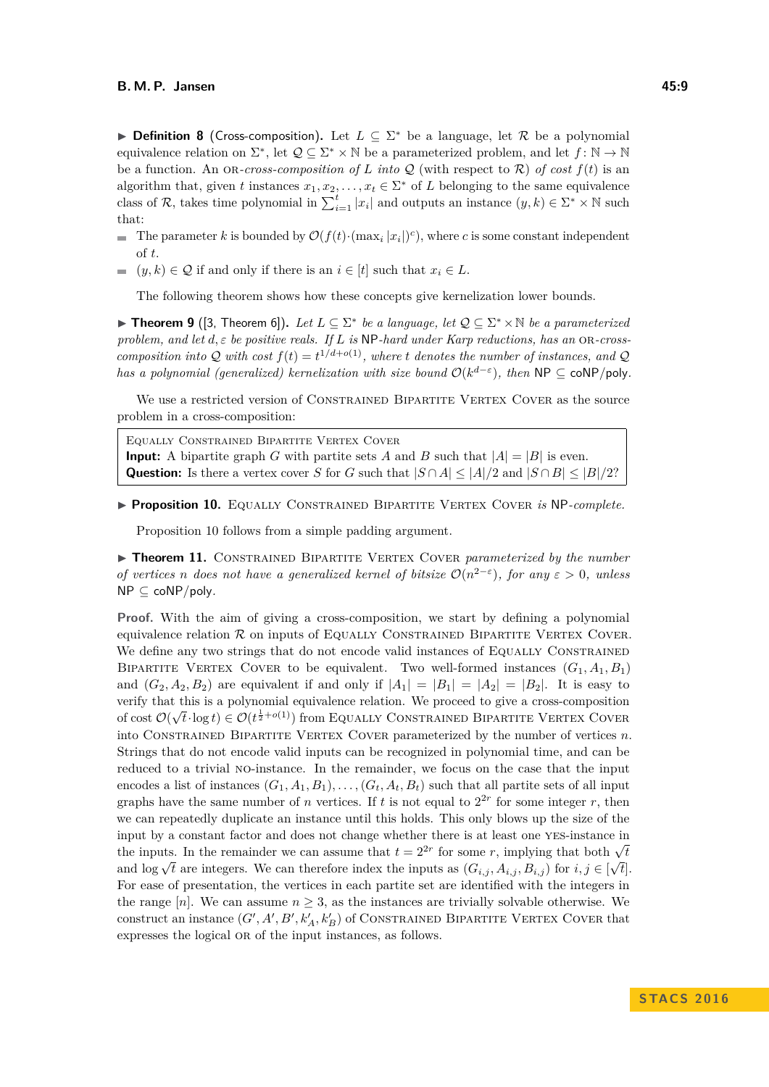**Definition 8** (Cross-composition). Let  $L \subseteq \Sigma^*$  be a language, let R be a polynomial equivalence relation on  $\Sigma^*$ , let  $\mathcal{Q} \subseteq \Sigma^* \times \mathbb{N}$  be a parameterized problem, and let  $f : \mathbb{N} \to \mathbb{N}$ be a function. An OR-cross-composition of L into Q (with respect to  $\mathcal{R}$ ) of cost  $f(t)$  is an algorithm that, given *t* instances  $x_1, x_2, \ldots, x_t \in \Sigma^*$  of *L* belonging to the same equivalence class of R, takes time polynomial in  $\sum_{i=1}^{t} |x_i|$  and outputs an instance  $(y, k) \in \sum^* \times \mathbb{N}$  such that:

- The parameter *k* is bounded by  $\mathcal{O}(f(t) \cdot (\max_i |x_i|)^c)$ , where *c* is some constant independent of *t*.
- $(y, k) \in \mathcal{Q}$  if and only if there is an  $i \in [t]$  such that  $x_i \in L$ .

The following theorem shows how these concepts give kernelization lower bounds.

<span id="page-8-2"></span>**► Theorem 9** ([\[3,](#page-12-18) Theorem 6]). Let  $L \subseteq \Sigma^*$  be a language, let  $\mathcal{Q} \subseteq \Sigma^* \times \mathbb{N}$  be a parameterized *problem, and let*  $d, \varepsilon$  *be positive reals. If*  $L$  *is* NP*-hard under Karp reductions, has an* OR*-crosscomposition into*  $Q$  *with cost*  $f(t) = t^{1/(d+o(1))}$ *, where t denotes the number of instances, and*  $Q$ *has a polynomial (generalized) kernelization with size bound*  $\mathcal{O}(k^{d-\varepsilon})$ , then NP  $\subseteq$  coNP/poly.

We use a restricted version of CONSTRAINED BIPARTITE VERTEX COVER as the source problem in a cross-composition:

Equally Constrained Bipartite Vertex Cover **Input:** A bipartite graph *G* with partite sets *A* and *B* such that  $|A| = |B|$  is even. **Question:** Is there a vertex cover *S* for *G* such that  $|S \cap A| \leq |A|/2$  and  $|S \cap B| \leq |B|/2$ ?

<span id="page-8-0"></span>I **Proposition 10.** Equally Constrained Bipartite Vertex Cover *is* NP*-complete.*

Proposition [10](#page-8-0) follows from a simple padding argument.

<span id="page-8-1"></span>**Finder 11.** CONSTRAINED BIPARTITE VERTEX COVER *parameterized by the number of vertices n does not have a generalized kernel of bitsize*  $\mathcal{O}(n^{2-\epsilon})$ *, for any*  $\epsilon > 0$ *, unless* NP ⊆ coNP*/*poly*.*

**Proof.** With the aim of giving a cross-composition, we start by defining a polynomial equivalence relation  $R$  on inputs of EQUALLY CONSTRAINED BIPARTITE VERTEX COVER. We define any two strings that do not encode valid instances of EQUALLY CONSTRAINED BIPARTITE VERTEX COVER to be equivalent. Two well-formed instances  $(G_1, A_1, B_1)$ and  $(G_2, A_2, B_2)$  are equivalent if and only if  $|A_1| = |B_1| = |A_2| = |B_2|$ . It is easy to verify that this is a polynomial equivalence relation. We proceed to give a cross-composition of cost  $\mathcal{O}(\sqrt{t} \cdot \log t) \in \mathcal{O}(t^{\frac{1}{2}+o(1)})$  from Equally Constrained Bipartite Vertex Cover into Constrained Bipartite Vertex Cover parameterized by the number of vertices *n*. Strings that do not encode valid inputs can be recognized in polynomial time, and can be reduced to a trivial no-instance. In the remainder, we focus on the case that the input encodes a list of instances  $(G_1, A_1, B_1), \ldots, (G_t, A_t, B_t)$  such that all partite sets of all input graphs have the same number of *n* vertices. If *t* is not equal to  $2^{2r}$  for some integer *r*, then we can repeatedly duplicate an instance until this holds. This only blows up the size of the input by a constant factor and does not change whether there is at least one yes-instance in the inputs. In the remainder we can assume that  $t = 2^{2r}$  for some *r*, implying that both  $\sqrt{t}$ and  $\log \sqrt{t}$  are integers. We can therefore index the inputs as  $(G_{i,j}, A_{i,j}, B_{i,j})$  for  $i, j \in [\sqrt{t}]$ . For ease of presentation, the vertices in each partite set are identified with the integers in the range  $[n]$ . We can assume  $n \geq 3$ , as the instances are trivially solvable otherwise. We construct an instance  $(G', A', B', k'_{A}, k'_{B})$  of CONSTRAINED BIPARTITE VERTEX COVER that expresses the logical OR of the input instances, as follows.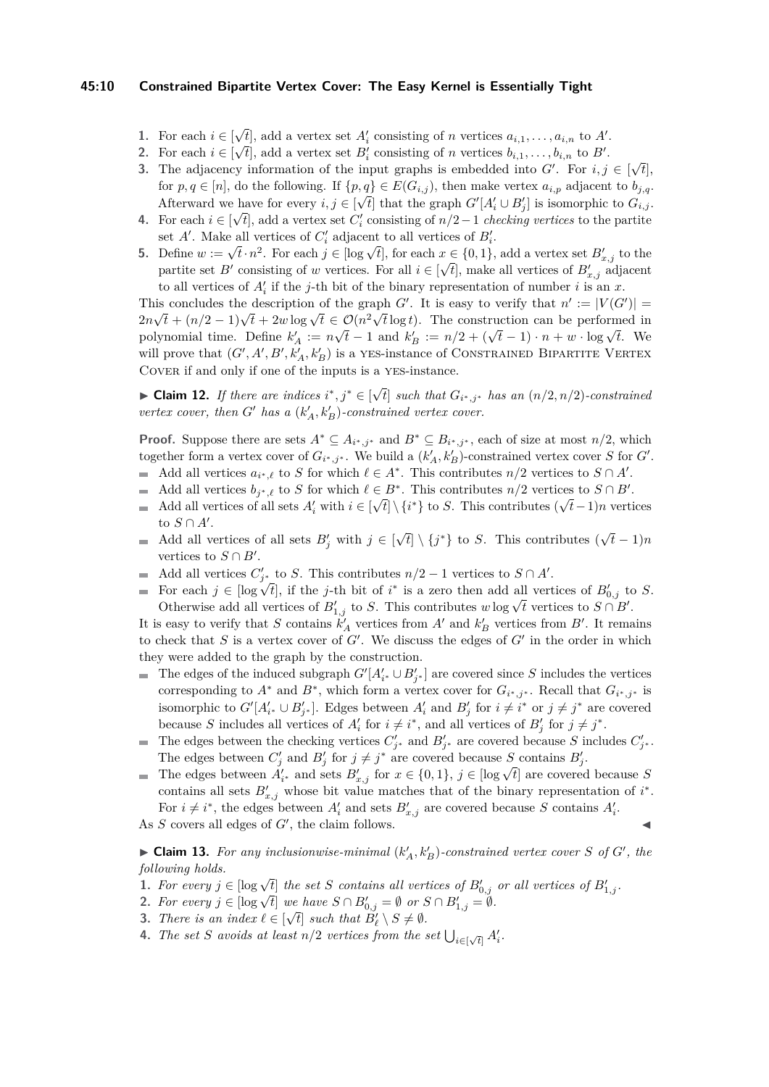#### **45:10 Constrained Bipartite Vertex Cover: The Easy Kernel is Essentially Tight**

- **1.** For each  $i \in [$  $\sqrt{t}$ , add a vertex set *A*<sup>*i*</sup> consisting of *n* vertices  $a_{i,1}, \ldots, a_{i,n}$  to *A'*.
- 2. For each  $i \in [\sqrt{t}]$ , add a vertex set  $B_i'$  consisting of *n* vertices  $b_{i,1}, \ldots, b_{i,n}$  to  $B'$ .
- **3.** The adjacency information of the input graphs is embedded into  $G'$ . For  $i, j \in [$ √ *t*], for  $p, q \in [n]$ , do the following. If  $\{p, q\} \in E(G_{i,j})$ , then make vertex  $a_{i,p}$  adjacent to  $b_{j,q}$ . Afterward we have for every  $i, j \in [\sqrt{t}]$  that the graph  $G'[A'_i \cup B'_j]$  is isomorphic to  $G_{i,j}$ .
- **4.** For each  $i \in [\sqrt{t}]$ , add a vertex set  $C_i'$  consisting of  $n/2-1$  *checking vertices* to the partite set  $A'$ . Make all vertices of  $C'_{i}$  adjacent to all vertices of  $B'_{i}$ .
- **5.** Define  $w := \sqrt{t} \cdot n^2$ . For each  $j \in [\log \sqrt{t}]$ , for each  $x \in \{0, 1\}$ , add a vertex set  $B'_{x,j}$  to the partite set *B*<sup> $\prime$ </sup> consisting of *w* vertices. For all  $i \in [\sqrt{t}]$ , make all vertices of  $B'_{x,j}$  adjacent to all vertices of  $A_i'$  if the *j*-th bit of the binary representation of number *i* is an *x*.

This concludes the description of the graph *G'*. It is easy to verify that  $n' := |V(G')| =$ 2*n* $\sqrt{t} + (n/2 - 1)\sqrt{t} + 2w \log \sqrt{t} \in \mathcal{O}(n^2 \sqrt{t} \log t)$ . The construction can be performed in  $2n\sqrt{t} + (n/2 - 1)\sqrt{t} + 2w \log \sqrt{t} \in O(n \sqrt{t} \log t)$ . The construction can be performed in polynomial time. Define  $k'_A := n\sqrt{t} - 1$  and  $k'_B := n/2 + (\sqrt{t} - 1) \cdot n + w \cdot \log \sqrt{t}$ . We will prove that  $(G', A', B', k'_{A}, k'_{B})$  is a YES-instance of CONSTRAINED BIPARTITE VERTEX Cover if and only if one of the inputs is a yes-instance.

► Claim 12. *If there are indices*  $i^*, j^* \in [\sqrt{3}$  $f$  *such that*  $G_{i^*,j^*}$  *has an*  $(n/2,n/2)$ *-constrained vertex cover, then*  $G'$  *has a*  $(k'_A, k'_B)$ *-constrained vertex cover.* 

**Proof.** Suppose there are sets  $A^* \subseteq A_{i^*,j^*}$  and  $B^* \subseteq B_{i^*,j^*}$ , each of size at most  $n/2$ , which together form a vertex cover of  $G_{i^*,j^*}$ . We build a  $(k'_A, k'_B)$ -constrained vertex cover *S* for *G'*.

- Add all vertices  $a_{i^*,\ell}$  to *S* for which  $\ell \in A^*$ . This contributes  $n/2$  vertices to  $S \cap A'$ .
- Add all vertices  $b_{j^*,\ell}$  to *S* for which  $\ell \in B^*$ . This contributes  $n/2$  vertices to  $S \cap B'$ .
- Add all vertices of all sets  $A'_i$  with  $i \in [\sqrt{t}] \setminus \{i^*\}$  to *S*. This contributes  $(\sqrt{t}-1)n$  vertices  $\equiv$ to  $S \cap A'$ . √
- $\overline{t}$  \  $\{j^*\}$  to *S*. This contributes ( $\sqrt{t}$ Add all vertices of all sets  $B'_j$  with  $j \in$ *t* − 1)*n* m. vertices to  $S \cap B'$ .
- Add all vertices  $C'_{j^*}$  to *S*. This contributes  $n/2 1$  vertices to  $S \cap A'$ .  $\blacksquare$
- For each  $j \in [\log \sqrt{t}]$ , if the *j*-th bit of *i*<sup>\*</sup> is a zero then add all vertices of  $B'_{0,j}$  to *S*. For each  $j \in [\log \sqrt{t}]$ , if the *f*-th bit of  $i$  is a zero then add an vertices of  $B_{0,j}$  in Otherwise add all vertices of  $B'_{1,j}$  to *S*. This contributes  $w \log \sqrt{t}$  vertices to  $S \cap B'$ .

It is easy to verify that *S* contains  $k'_A$  vertices from  $A'$  and  $k'_B$  vertices from  $B'$ . It remains to check that  $S$  is a vertex cover of  $G'$ . We discuss the edges of  $G'$  in the order in which they were added to the graph by the construction.

- The edges of the induced subgraph  $G'[A'_{i^*} \cup B'_{j^*}]$  are covered since *S* includes the vertices corresponding to  $A^*$  and  $B^*$ , which form a vertex cover for  $G_{i^*,j^*}$ . Recall that  $G_{i^*,j^*}$  is isomorphic to  $G'[A'_{i^*} \cup B'_{j^*}].$  Edges between  $A'_i$  and  $B'_j$  for  $i \neq i^*$  or  $j \neq j^*$  are covered because *S* includes all vertices of  $A'_i$  for  $i \neq i^*$ , and all vertices of  $B'_j$  for  $j \neq j^*$ .
- The edges between the checking vertices  $C'_{j^*}$  and  $B'_{j^*}$  are covered because *S* includes  $C'_{j^*}$ .  $\mathcal{L}_{\mathcal{A}}$ The edges between  $C'_j$  and  $B'_j$  for  $j \neq j^*$  are covered because *S* contains  $B'_j$ .
- The edges between  $C_j$  and  $D_j$  for  $j \neq j$  are covered because *S* contains  $D_j$ .<br>The edges between  $A'_{i*}$  and sets  $B'_{x,j}$  for  $x \in \{0,1\}$ ,  $j \in [\log \sqrt{t}]$  are covered because *S* contains all sets  $B'_{x,j}$  whose bit value matches that of the binary representation of  $i^*$ . For  $i \neq i^*$ , the edges between  $A'_i$  and sets  $B'_{x,j}$  are covered because *S* contains  $A'_i$ .
- As  $S$  covers all edges of  $G'$ , the claim follows.

<span id="page-9-4"></span> $\blacktriangleright$  **Claim 13.** For any inclusionwise-minimal  $(k'_A, k'_B)$ -constrained vertex cover *S* of *G*<sup> $\prime$ </sup>, the *following holds.*

- <span id="page-9-0"></span>**1.** For every  $j \in [\log \sqrt{t}]$  the set *S* contains all vertices of  $B'_{0,j}$  or all vertices of  $B'_{1,j}$ .
- <span id="page-9-1"></span>**2.** For every  $j \in [\log \sqrt{t}]$  we have  $S \cap B'_{0,j} = \emptyset$  or  $S \cap B'_{1,j} = \emptyset$ .
- <span id="page-9-2"></span>**3.** *There is an index*  $\ell \in [\sqrt{t}]$  *such that*  $B'_\ell \setminus S \neq \emptyset$ *.*
- <span id="page-9-3"></span>**4.** *The set S avoids at least*  $n/2$  *vertices from the set*  $\bigcup_{i \in [\sqrt{t}]} A'_i$ *.*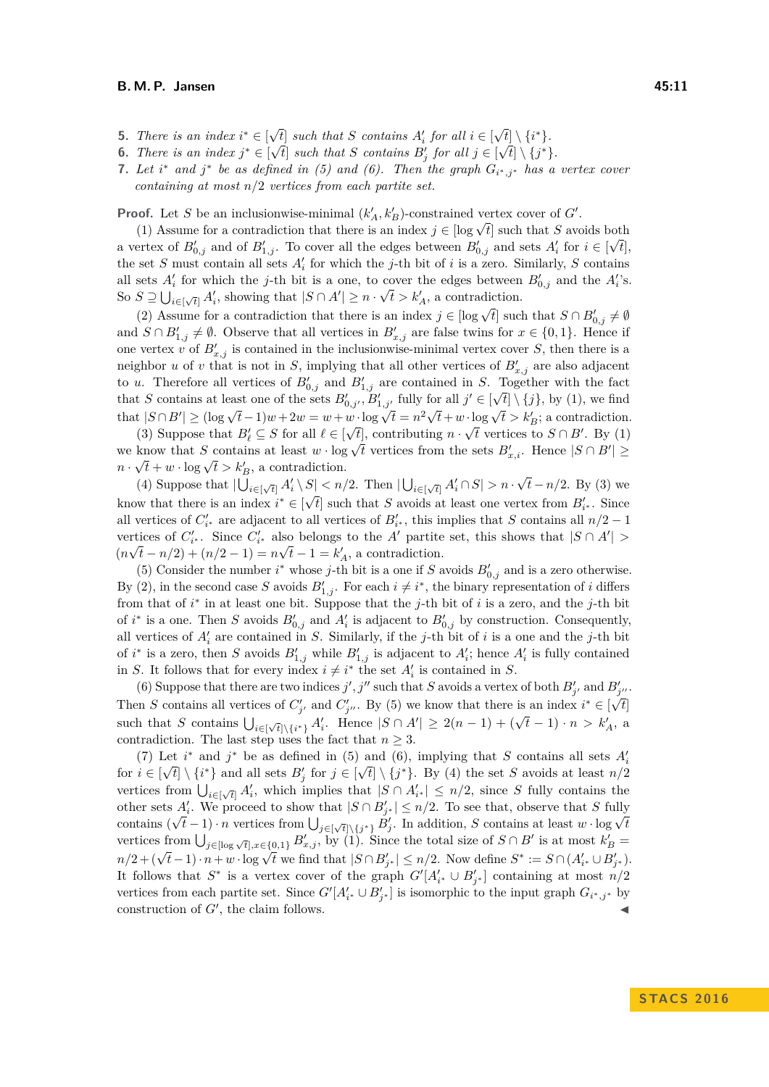- <span id="page-10-0"></span>**5.** *There is an index*  $i^* \in [\sqrt{t}]$  *such that S contains*  $A'_i$  *for all*  $i \in [\sqrt{t}]$ √  $\sqrt{t}$  such that *S* contains  $A'_i$  for all  $i \in [\sqrt{t}] \setminus \{i^*\}$ .
- <span id="page-10-1"></span>**6.** *There is an index*  $j^* \in [\sqrt{t}]$  *such that S contains*  $B'_j$  *for all*  $j \in [\sqrt{t}] \setminus \{j^*\}.$
- <span id="page-10-2"></span>**7.** Let  $i^*$  and  $j^*$  be as defined in [\(5\)](#page-10-0) and [\(6\)](#page-10-1). Then the graph  $G_{i^*,j^*}$  has a vertex cover *containing at most n/*2 *vertices from each partite set.*

**Proof.** Let *S* be an inclusionwise-minimal  $(k'_A, k'_B)$ -constrained vertex cover of *G'*.

[\(1\)](#page-9-0) Assume for a contradiction that there is an index  $j \in [\log \sqrt{t}]$  such that *S* avoids both (1) Assume for a contradiction that there is an index  $j \in [\log \sqrt{t}]$  such that *S* avoids both a vertex of  $B'_{0,j}$  and of  $B'_{1,j}$ . To cover all the edges between  $B'_{0,j}$  and sets  $A'_i$  for  $i \in [\sqrt{t}]$ , the set *S* must contain all sets  $A_i'$  for which the *j*-th bit of *i* is a zero. Similarly, *S* contains all sets  $A'_i$  for which the *j*-th bit is a one, to cover the edges between  $B'_{0,j}$  and the  $A'_i$ 's. So  $S \supseteq \bigcup_{i \in [\sqrt{t}]} A'_i$ , showing that  $|S \cap A'| \geq n \cdot \sqrt{t} > k'_A$ , a contradiction.

[\(2\)](#page-9-1) Assume for a contradiction that there is an index  $j \in [\log \sqrt{t}]$  such that  $S \cap B'_{0,j} \neq \emptyset$ and  $S \cap B'_{1,j} \neq \emptyset$ . Observe that all vertices in  $B'_{x,j}$  are false twins for  $x \in \{0,1\}$ . Hence if one vertex *v* of  $B'_{x,j}$  is contained in the inclusionwise-minimal vertex cover *S*, then there is a neighbor *u* of *v* that is not in *S*, implying that all other vertices of  $B'_{x,j}$  are also adjacent to *u*. Therefore all vertices of  $B'_{0,j}$  and  $B'_{1,j}$  are contained in *S*. Together with the fact that *S* contains at least one of the sets  $B'_{0,j'}$ ,  $B'_{1,j'}$  fully for all  $j' \in [\sqrt{t}] \setminus \{j\}$ , by [\(1\)](#page-9-0), we find that  $|S \cap B'| \geq (\log \sqrt{t} - 1)w + 2w = w + w \cdot \log \sqrt{t} = n^2\sqrt{t} + w \cdot \log \sqrt{t} > k_B'$ ; a contradiction.

[\(3\)](#page-9-2) Suppose that  $B'_\ell \subseteq S$  for all  $\ell \in [\sqrt{t}]$ , contributing  $n \cdot \sqrt{t}$  vertices to  $S \cap B'$ . By [\(1\)](#page-9-0) (3) suppose that  $D_{\ell} \subseteq S$  for an  $\ell \in [\mathcal{V}^{\ell}]$ , contributing  $n \cdot \mathcal{V}^{\ell}$  vertices to  $S \cap B$ . By (1) we know that *S* contains at least  $w \cdot \log \sqrt{t}$  vertices from the sets  $B'_{x,i}$ . Hence  $|S \cap B'| \ge$ *n* ·  $\sqrt{t} + w$  · log  $\sqrt{t} > k_B'$ , a contradiction. √

[\(4\)](#page-9-3) Suppose that  $|\bigcup_{i \in [\sqrt{t}]} A'_i \setminus S| < n/2$ . Then  $|\bigcup_{i \in [\sqrt{t}]} A'_i \cap S| > n$ . *f* − *n*/2. Then  $|\bigcup_{i \in [\sqrt{t}]} A'_i \cap S| > n \cdot \sqrt{t} - n/2$ . By [\(3\)](#page-9-2) we know that there is an index  $i^* \in [\sqrt{t}]$  such that *S* avoids at least one vertex from  $B'_{i^*}$ . Since all vertices of  $C'_{i^*}$  are adjacent to all vertices of  $B'_{i^*}$ , this implies that *S* contains all  $n/2 - 1$ vertices of  $C'_{i^*}$ . Since  $C'_{i^*}$  also belongs to the *A'* partite set, this shows that  $|S \cap A'|$  >  $(n\sqrt{t} - n/2) + (n/2 - 1) = n\sqrt{t} - 1 = k'_A$ , a contradiction.

[\(5\)](#page-10-0) Consider the number  $i^*$  whose *j*-th bit is a one if *S* avoids  $B'_{0,j}$  and is a zero otherwise. By [\(2\)](#page-9-1), in the second case *S* avoids  $B'_{1,j}$ . For each  $i \neq i^*$ , the binary representation of *i* differs from that of *i* ∗ in at least one bit. Suppose that the *j*-th bit of *i* is a zero, and the *j*-th bit of  $i^*$  is a one. Then *S* avoids  $B'_{0,j}$  and  $A'_i$  is adjacent to  $B'_{0,j}$  by construction. Consequently, all vertices of  $A_i'$  are contained in *S*. Similarly, if the *j*-th bit of *i* is a one and the *j*-th bit of *i*<sup>\*</sup> is a zero, then *S* avoids  $B'_{1,j}$  while  $B'_{1,j}$  is adjacent to  $A'_i$ ; hence  $A'_i$  is fully contained in *S*. It follows that for every index  $i \neq i^*$  the set  $A'_i$  is contained in *S*.

[\(6\)](#page-10-1) Suppose that there are two indices *j'*, *j''* such that *S* avoids a vertex of both  $B'_{j'}$  and  $B'_{j''}$ . Then *S* contains all vertices of  $C'_{j'}$  and  $C'_{j''}$ . By [\(5\)](#page-10-0) we know that there is an index  $i^* \in [\sqrt{t}]$ such that *S* contains  $\bigcup_{i\in[\sqrt{t}]\setminus\{i^*\}} A'_i$ . Hence  $|S \cap A'| \geq 2(n-1) + (\sqrt{t}-1) \cdot n > k'_A$ , a contradiction. The last step uses the fact that  $n \geq 3$ .

[\(7\)](#page-10-2) Let *i*<sup>\*</sup> and *j*<sup>\*</sup> be as defined in [\(5\)](#page-10-0) and [\(6\)](#page-10-1), implying that *S* contains all sets  $A_i'$ for  $i \in [\sqrt{t}] \setminus \{i^*\}$  and all sets  $B'_j$  for  $j \in [\sqrt{t}] \setminus \{j^*\}$ . By [\(4\)](#page-9-3) the set *S* avoids at least  $n/2$ vertices from  $\bigcup_{i\in[\sqrt{t}]} A'_i$ , which implies that  $|S \cap A'_i| \leq n/2$ , since *S* fully contains the other sets  $A'_i$ . We proceed to show that  $|S \cap B'_{j^*}| \leq n/2$ . To see that, observe that *S* fully contains  $(\sqrt{t}-1) \cdot n$  vertices from  $\bigcup_{j \in [\sqrt{t}] \setminus \{j^*\}} B'_j$ . In addition, *S* contains at least *w* · log  $\sqrt{t}$ vertices from  $\bigcup_{j\in[\log \sqrt{t}],x\in\{0,1\}} B'_{x,j}$ , by [\(1\)](#page-9-0). Since the total size of  $S\cap B'$  is at most  $k'_B =$  $n/2 + (\sqrt{t} - 1) \cdot n + w \cdot \log \sqrt{t}$  we find that  $|S \cap B'_{j^*}| \le n/2$ . Now define  $S^* := S \cap (A'_{i^*} \cup B'_{j^*})$ . It follows that  $S^*$  is a vertex cover of the graph  $G'[A'_{i^*} \cup B'_{j^*}]$  containing at most  $n/2$ vertices from each partite set. Since  $G'[A'_{i^*} \cup B'_{j^*}]$  is isomorphic to the input graph  $G_{i^*,j^*}$  by construction of  $G'$ , the claim follows.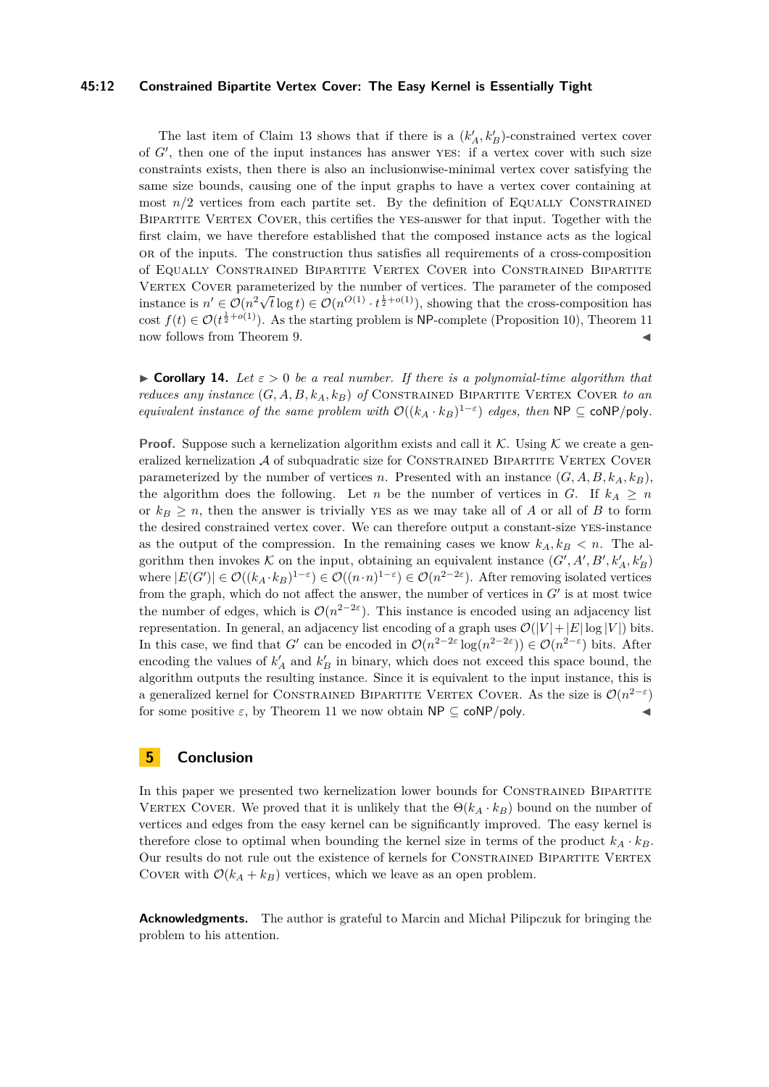#### **45:12 Constrained Bipartite Vertex Cover: The Easy Kernel is Essentially Tight**

The last item of Claim [13](#page-9-4) shows that if there is a  $(k'_A, k'_B)$ -constrained vertex cover of *G'*, then one of the input instances has answer YES: if a vertex cover with such size constraints exists, then there is also an inclusionwise-minimal vertex cover satisfying the same size bounds, causing one of the input graphs to have a vertex cover containing at most  $n/2$  vertices from each partite set. By the definition of Equally Constrained BIPARTITE VERTEX COVER, this certifies the YES-answer for that input. Together with the first claim, we have therefore established that the composed instance acts as the logical or of the inputs. The construction thus satisfies all requirements of a cross-composition of Equally Constrained Bipartite Vertex Cover into Constrained Bipartite VERTEX COVER parameterized by the number of vertices. The parameter of the composed v ERTEX COVER parameters  $n' \in \mathcal{O}(n^2 \sqrt{2})$  $\overline{t} \log t$   $\in \mathcal{O}(n^{\mathcal{O}(1)} \cdot t^{\frac{1}{2} + o(1)})$ , showing that the cross-composition has cost  $f(t) \in \mathcal{O}(t^{\frac{1}{2}+o(1)})$ . As the starting problem is NP-complete (Proposition [10\)](#page-8-0), Theorem [11](#page-8-1) now follows from Theorem [9.](#page-8-2)

<span id="page-11-0"></span>**Corollary 14.** Let  $\varepsilon > 0$  be a real number. If there is a polynomial-time algorithm that *reduces any instance*  $(G, A, B, k_A, k_B)$  *of* CONSTRAINED BIPARTITE VERTEX COVER to an *equivalent instance of the same problem with*  $\mathcal{O}((k_A \cdot k_B)^{1-\epsilon})$  *edges, then*  $\mathsf{NP} \subseteq \mathsf{coNP/poly}$ *.* 

**Proof.** Suppose such a kernelization algorithm exists and call it K. Using K we create a generalized kernelization  $A$  of subquadratic size for CONSTRAINED BIPARTITE VERTEX COVER parameterized by the number of vertices *n*. Presented with an instance  $(G, A, B, k_A, k_B)$ , the algorithm does the following. Let *n* be the number of vertices in *G*. If  $k_A \geq n$ or  $k_B \geq n$ , then the answer is trivially YES as we may take all of *A* or all of *B* to form the desired constrained vertex cover. We can therefore output a constant-size yes-instance as the output of the compression. In the remaining cases we know  $k_A, k_B < n$ . The algorithm then invokes  $K$  on the input, obtaining an equivalent instance  $(G', A', B', k'_A, k'_B)$ where  $|E(G')| \in \mathcal{O}((k_A \cdot k_B)^{1-\varepsilon}) \in \mathcal{O}((n \cdot n)^{1-\varepsilon}) \in \mathcal{O}(n^{2-2\varepsilon})$ . After removing isolated vertices from the graph, which do not affect the answer, the number of vertices in  $G'$  is at most twice the number of edges, which is  $\mathcal{O}(n^{2-2\varepsilon})$ . This instance is encoded using an adjacency list representation. In general, an adjacency list encoding of a graph uses  $\mathcal{O}(|V| + |E| \log |V|)$  bits. In this case, we find that *G*<sup> $\prime$ </sup> can be encoded in  $\mathcal{O}(n^{2-2\varepsilon} \log(n^{2-2\varepsilon})) \in \mathcal{O}(n^{2-\varepsilon})$  bits. After encoding the values of  $k'_A$  and  $k'_B$  in binary, which does not exceed this space bound, the algorithm outputs the resulting instance. Since it is equivalent to the input instance, this is a generalized kernel for CONSTRAINED BIPARTITE VERTEX COVER. As the size is  $\mathcal{O}(n^{2-\varepsilon})$ for some positive  $\varepsilon$ , by Theorem [11](#page-8-1) we now obtain  $\mathsf{NP} \subseteq \mathsf{coNP/poly}.$ 

## <span id="page-11-1"></span>**5 Conclusion**

In this paper we presented two kernelization lower bounds for CONSTRAINED BIPARTITE VERTEX COVER. We proved that it is unlikely that the  $\Theta(k_A \cdot k_B)$  bound on the number of vertices and edges from the easy kernel can be significantly improved. The easy kernel is therefore close to optimal when bounding the kernel size in terms of the product  $k_A \cdot k_B$ . Our results do not rule out the existence of kernels for CONSTRAINED BIPARTITE VERTEX COVER with  $\mathcal{O}(k_A + k_B)$  vertices, which we leave as an open problem.

**Acknowledgments.** The author is grateful to Marcin and Michał Pilipczuk for bringing the problem to his attention.